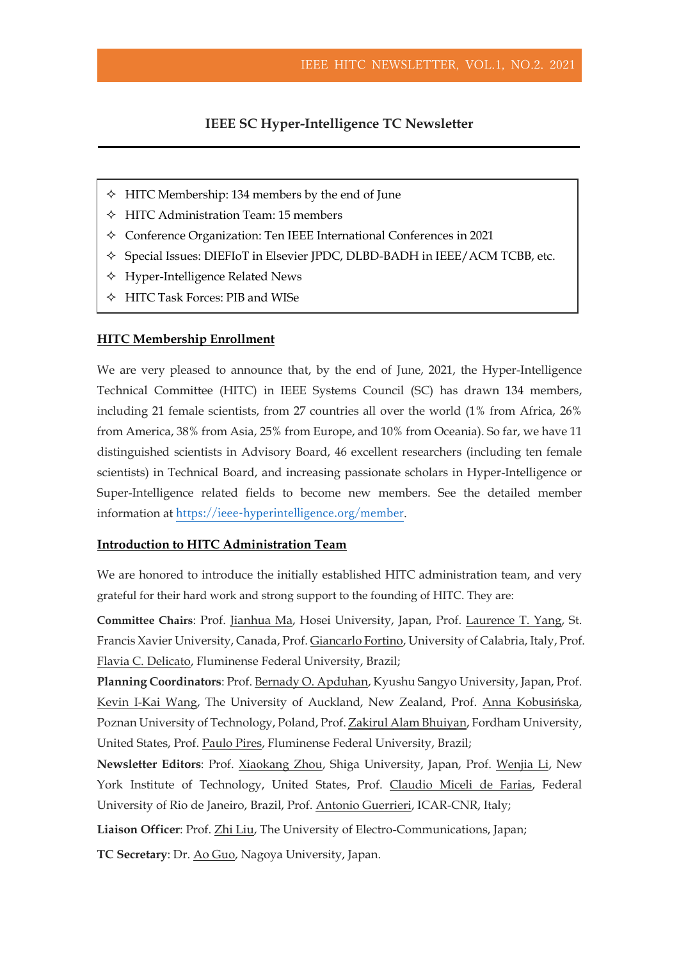## **IEEE SC Hyper-Intelligence TC Newsletter**

- $\triangle$  HITC Membership: 134 members by the end of June
- $\triangle$  HITC Administration Team: 15 members
- Conference Organization: Ten IEEE International Conferences in 2021
- Special Issues: DIEFIoT in Elsevier JPDC, DLBD-BADH in IEEE/ACM TCBB, etc.
- $\triangle$  Hyper-Intelligence Related News
- HITC Task Forces: PIB and WISe

#### **HITC Membership Enrollment**

We are very pleased to announce that, by the end of June, 2021, the Hyper-Intelligence Technical Committee (HITC) in IEEE Systems Council (SC) has drawn 134 members, including 21 female scientists, from 27 countries all over the world (1% from Africa, 26% from America, 38% from Asia, 25% from Europe, and 10% from Oceania). So far, we have 11 distinguished scientists in Advisory Board, 46 excellent researchers (including ten female scientists) in Technical Board, and increasing passionate scholars in Hyper-Intelligence or Super-Intelligence related fields to become new members. See the detailed member information at <https://ieee-hyperintelligence.org/member>.

## **Introduction to HITC Administration Team**

We are honored to introduce the initially established HITC administration team, and very grateful for their hard work and strong support to the founding of HITC. They are:

**Committee Chairs**: Prof. Jianhua Ma, Hosei University, Japan, Prof. Laurence T. Yang, St. Francis Xavier University, Canada, Prof. Giancarlo Fortino, University of Calabria, Italy, Prof. Flavia C. Delicato, Fluminense Federal University, Brazil;

**Planning Coordinators**: Prof. Bernady O. Apduhan, Kyushu Sangyo University, Japan, Prof. Kevin I-Kai Wang, The University of Auckland, New Zealand, Prof. Anna Kobusińska, Poznan University of Technology, Poland, Prof. Zakirul Alam Bhuiyan, Fordham University, United States, Prof. Paulo Pires, Fluminense Federal University, Brazil;

**Newsletter Editors**: Prof. Xiaokang Zhou, Shiga University, Japan, Prof. Wenjia Li, New York Institute of Technology, United States, Prof. Claudio Miceli de Farias, Federal University of Rio de Janeiro, Brazil, Prof. Antonio Guerrieri, ICAR-CNR, Italy;

**Liaison Officer**: Prof. Zhi Liu, The University of Electro-Communications, Japan;

**TC Secretary**: Dr. Ao Guo, Nagoya University, Japan.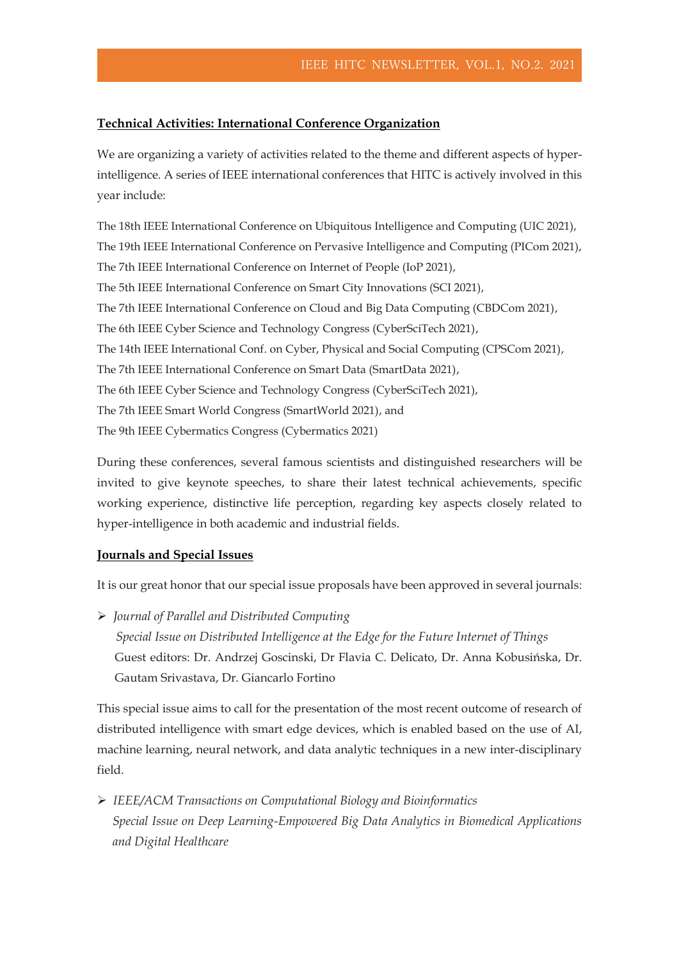## **Technical Activities: International Conference Organization**

We are organizing a variety of activities related to the theme and different aspects of hyperintelligence. A series of IEEE international conferences that HITC is actively involved in this year include:

The 18th IEEE International Conference on Ubiquitous Intelligence and Computing (UIC 2021), The 19th IEEE International Conference on Pervasive Intelligence and Computing (PICom 2021), The 7th IEEE International Conference on Internet of People (IoP 2021), The 5th IEEE International Conference on Smart City Innovations (SCI 2021), The 7th IEEE International Conference on Cloud and Big Data Computing (CBDCom 2021), The 6th IEEE Cyber Science and Technology Congress (CyberSciTech 2021), The 14th IEEE International Conf. on Cyber, Physical and Social Computing (CPSCom 2021), The 7th IEEE International Conference on Smart Data (SmartData 2021), The 6th IEEE Cyber Science and Technology Congress (CyberSciTech 2021), The 7th IEEE Smart World Congress (SmartWorld 2021), and The 9th IEEE Cybermatics Congress (Cybermatics 2021)

During these conferences, several famous scientists and distinguished researchers will be invited to give keynote speeches, to share their latest technical achievements, specific working experience, distinctive life perception, regarding key aspects closely related to hyper-intelligence in both academic and industrial fields.

#### **Journals and Special Issues**

It is our great honor that our special issue proposals have been approved in several journals:

➢ *Journal of Parallel and Distributed Computing Special Issue on Distributed Intelligence at the Edge for the Future Internet of Things* Guest editors: Dr. Andrzej Goscinski, Dr Flavia C. Delicato, Dr. Anna Kobusińska, Dr. Gautam Srivastava, Dr. Giancarlo Fortino

This special issue aims to call for the presentation of the most recent outcome of research of distributed intelligence with smart edge devices, which is enabled based on the use of AI, machine learning, neural network, and data analytic techniques in a new inter-disciplinary field.

➢ *IEEE/ACM Transactions on Computational Biology and Bioinformatics Special Issue on Deep Learning-Empowered Big Data Analytics in Biomedical Applications and Digital Healthcare*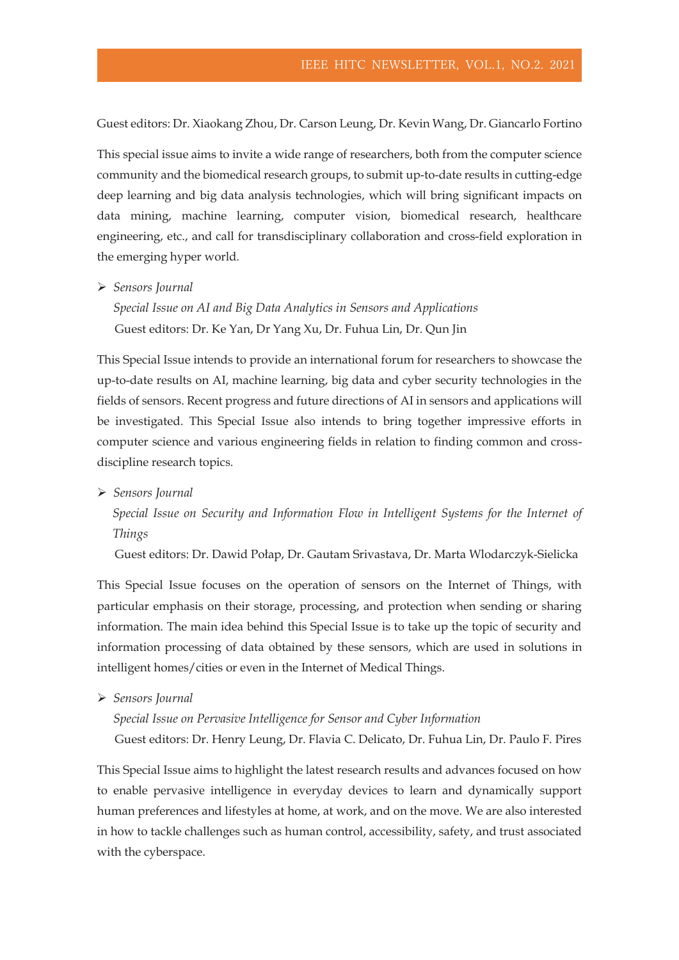Guest editors: Dr. Xiaokang Zhou, Dr. Carson Leung, Dr. Kevin Wang, Dr. Giancarlo Fortino

This special issue aims to invite a wide range of researchers, both from the computer science community and the biomedical research groups, to submit up-to-date results in cutting-edge deep learning and big data analysis technologies, which will bring significant impacts on data mining, machine learning, computer vision, biomedical research, healthcare engineering, etc., and call for transdisciplinary collaboration and cross-field exploration in the emerging hyper world.

➢ *Sensors Journal*

*Special Issue on AI and Big Data Analytics in Sensors and Applications* Guest editors: Dr. Ke Yan, Dr Yang Xu, Dr. Fuhua Lin, Dr. Qun Jin

This Special Issue intends to provide an international forum for researchers to showcase the up-to-date results on AI, machine learning, big data and cyber security technologies in the fields of sensors. Recent progress and future directions of AI in sensors and applications will be investigated. This Special Issue also intends to bring together impressive efforts in computer science and various engineering fields in relation to finding common and crossdiscipline research topics.

➢ *Sensors Journal*

*Special Issue on Security and Information Flow in Intelligent Systems for the Internet of Things*

Guest editors: Dr. Dawid Połap, Dr. Gautam Srivastava, Dr. Marta Wlodarczyk-Sielicka

This Special Issue focuses on the operation of sensors on the Internet of Things, with particular emphasis on their storage, processing, and protection when sending or sharing information. The main idea behind this Special Issue is to take up the topic of security and information processing of data obtained by these sensors, which are used in solutions in intelligent homes/cities or even in the Internet of Medical Things.

➢ *Sensors Journal*

*Special Issue on Pervasive Intelligence for Sensor and Cyber Information* Guest editors: Dr. Henry Leung, Dr. Flavia C. Delicato, Dr. Fuhua Lin, Dr. Paulo F. Pires

This Special Issue aims to highlight the latest research results and advances focused on how to enable pervasive intelligence in everyday devices to learn and dynamically support human preferences and lifestyles at home, at work, and on the move. We are also interested in how to tackle challenges such as human control, accessibility, safety, and trust associated with the cyberspace.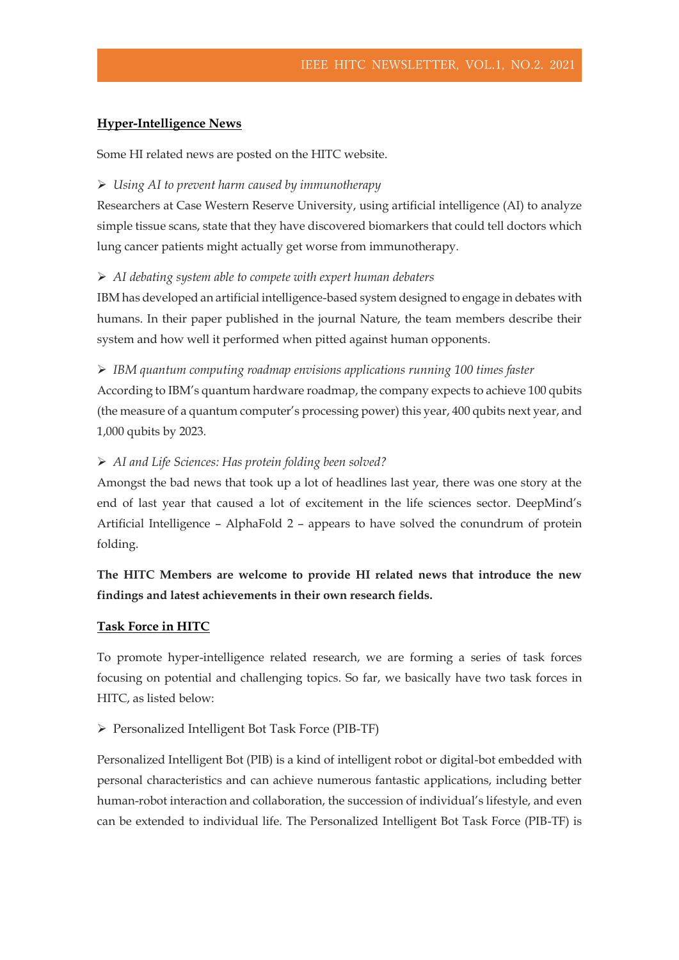## **Hyper-Intelligence News**

Some HI related news are posted on the HITC website.

### ➢ *Using AI to prevent harm caused by immunotherapy*

Researchers at Case Western Reserve University, using artificial intelligence (AI) to analyze simple tissue scans, state that they have discovered biomarkers that could tell doctors which lung cancer patients might actually get worse from immunotherapy.

#### ➢ *AI debating system able to compete with expert human debaters*

IBM has developed an artificial intelligence-based system designed to engage in debates with humans. In their paper published in the journal Nature, the team members describe their system and how well it performed when pitted against human opponents.

## ➢ *IBM quantum computing roadmap envisions applications running 100 times faster*

According to IBM's quantum hardware roadmap, the company expects to achieve 100 qubits (the measure of a quantum computer's processing power) this year, 400 qubits next year, and 1,000 qubits by 2023.

#### ➢ *[AI and Life Sciences: Has protein folding been solved?](https://www.lexology.com/library/detail.aspx?g=c913c102-028e-4b4d-8019-ae73113a1186)*

Amongst the bad news that took up a lot of headlines last year, there was one story at the end of last year that caused a lot of excitement in the life sciences sector. DeepMind's Artificial Intelligence – AlphaFold 2 – appears to have solved the conundrum of protein folding.

# **The HITC Members are welcome to provide HI related news that introduce the new findings and latest achievements in their own research fields.**

#### **Task Force in HITC**

To promote hyper-intelligence related research, we are forming a series of task forces focusing on potential and challenging topics. So far, we basically have two task forces in HITC, as listed below:

## ➢ Personalized Intelligent Bot Task Force (PIB-TF)

Personalized Intelligent Bot (PIB) is a kind of intelligent robot or digital-bot embedded with personal characteristics and can achieve numerous fantastic applications, including better human-robot interaction and collaboration, the succession of individual's lifestyle, and even can be extended to individual life. The Personalized Intelligent Bot Task Force (PIB-TF) is